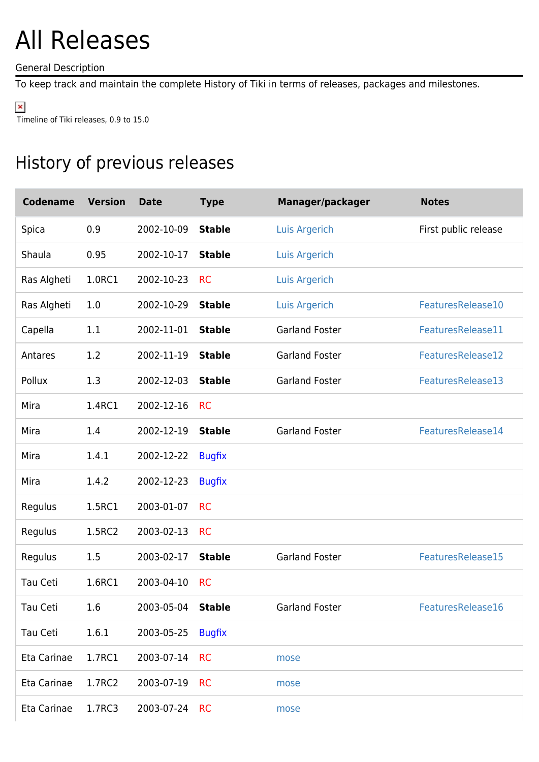## All Releases

General Description

To keep track and maintain the complete History of Tiki in terms of releases, packages and milestones.

 $\pmb{\times}$ 

Timeline of Tiki releases, 0.9 to 15.0

## History of previous releases

| <b>Codename</b> | <b>Version</b> | <b>Date</b>       | <b>Type</b>   | Manager/packager      | <b>Notes</b>         |
|-----------------|----------------|-------------------|---------------|-----------------------|----------------------|
| Spica           | 0.9            | 2002-10-09        | <b>Stable</b> | <b>Luis Argerich</b>  | First public release |
| Shaula          | 0.95           | 2002-10-17        | <b>Stable</b> | <b>Luis Argerich</b>  |                      |
| Ras Algheti     | 1.0RC1         | 2002-10-23        | <b>RC</b>     | Luis Argerich         |                      |
| Ras Algheti     | 1.0            | 2002-10-29        | <b>Stable</b> | <b>Luis Argerich</b>  | FeaturesRelease10    |
| Capella         | 1.1            | 2002-11-01        | <b>Stable</b> | <b>Garland Foster</b> | FeaturesRelease11    |
| Antares         | 1.2            | 2002-11-19        | <b>Stable</b> | <b>Garland Foster</b> | FeaturesRelease12    |
| Pollux          | 1.3            | 2002-12-03        | <b>Stable</b> | <b>Garland Foster</b> | FeaturesRelease13    |
| Mira            | 1.4RC1         | 2002-12-16        | <b>RC</b>     |                       |                      |
| Mira            | 1.4            | 2002-12-19        | <b>Stable</b> | <b>Garland Foster</b> | FeaturesRelease14    |
| Mira            | 1.4.1          | 2002-12-22        | <b>Bugfix</b> |                       |                      |
| Mira            | 1.4.2          | 2002-12-23        | <b>Bugfix</b> |                       |                      |
| Regulus         | 1.5RC1         | 2003-01-07        | <b>RC</b>     |                       |                      |
| Regulus         | 1.5RC2         | 2003-02-13        | <b>RC</b>     |                       |                      |
| Regulus         | 1.5            | 2003-02-17        | <b>Stable</b> | <b>Garland Foster</b> | FeaturesRelease15    |
| Tau Ceti        | 1.6RC1         | 2003-04-10        | <b>RC</b>     |                       |                      |
| Tau Ceti        | 1.6            | 2003-05-04 Stable |               | <b>Garland Foster</b> | FeaturesRelease16    |
| Tau Ceti        | 1.6.1          | 2003-05-25        | <b>Bugfix</b> |                       |                      |
| Eta Carinae     | 1.7RC1         | 2003-07-14        | <b>RC</b>     | mose                  |                      |
| Eta Carinae     | 1.7RC2         | 2003-07-19        | <b>RC</b>     | mose                  |                      |
| Eta Carinae     | 1.7RC3         | 2003-07-24        | <b>RC</b>     | mose                  |                      |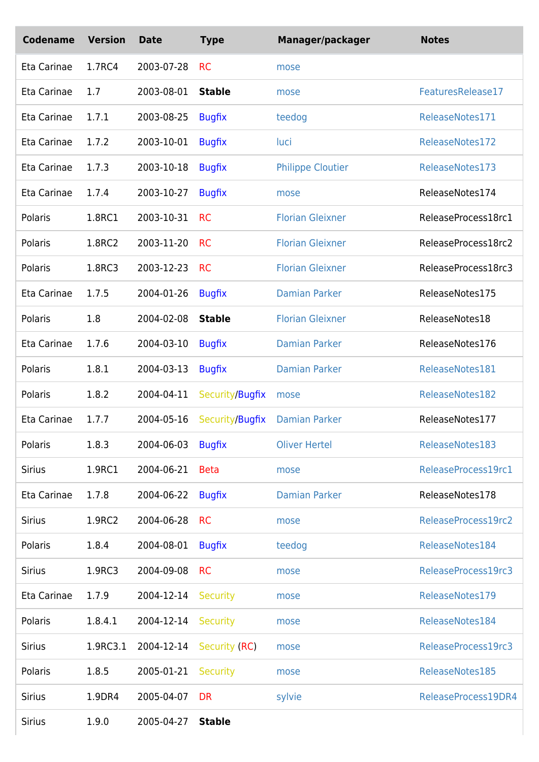| <b>Codename</b> | <b>Version</b> | <b>Date</b> | <b>Type</b>     | Manager/packager         | <b>Notes</b>        |
|-----------------|----------------|-------------|-----------------|--------------------------|---------------------|
| Eta Carinae     | 1.7RC4         | 2003-07-28  | <b>RC</b>       | mose                     |                     |
| Eta Carinae     | 1.7            | 2003-08-01  | <b>Stable</b>   | mose                     | FeaturesRelease17   |
| Eta Carinae     | 1.7.1          | 2003-08-25  | <b>Bugfix</b>   | teedog                   | ReleaseNotes171     |
| Eta Carinae     | 1.7.2          | 2003-10-01  | <b>Bugfix</b>   | luci                     | ReleaseNotes172     |
| Eta Carinae     | 1.7.3          | 2003-10-18  | <b>Bugfix</b>   | <b>Philippe Cloutier</b> | ReleaseNotes173     |
| Eta Carinae     | 1.7.4          | 2003-10-27  | <b>Bugfix</b>   | mose                     | ReleaseNotes174     |
| Polaris         | 1.8RC1         | 2003-10-31  | <b>RC</b>       | <b>Florian Gleixner</b>  | ReleaseProcess18rc1 |
| Polaris         | 1.8RC2         | 2003-11-20  | <b>RC</b>       | <b>Florian Gleixner</b>  | ReleaseProcess18rc2 |
| Polaris         | 1.8RC3         | 2003-12-23  | <b>RC</b>       | <b>Florian Gleixner</b>  | ReleaseProcess18rc3 |
| Eta Carinae     | 1.7.5          | 2004-01-26  | <b>Bugfix</b>   | <b>Damian Parker</b>     | ReleaseNotes175     |
| Polaris         | 1.8            | 2004-02-08  | <b>Stable</b>   | <b>Florian Gleixner</b>  | ReleaseNotes18      |
| Eta Carinae     | 1.7.6          | 2004-03-10  | <b>Bugfix</b>   | <b>Damian Parker</b>     | ReleaseNotes176     |
| Polaris         | 1.8.1          | 2004-03-13  | <b>Bugfix</b>   | <b>Damian Parker</b>     | ReleaseNotes181     |
| Polaris         | 1.8.2          | 2004-04-11  | Security/Bugfix | mose                     | ReleaseNotes182     |
| Eta Carinae     | 1.7.7          | 2004-05-16  | Security/Bugfix | <b>Damian Parker</b>     | ReleaseNotes177     |
| Polaris         | 1.8.3          | 2004-06-03  | <b>Bugfix</b>   | <b>Oliver Hertel</b>     | ReleaseNotes183     |
| <b>Sirius</b>   | 1.9RC1         | 2004-06-21  | <b>Beta</b>     | mose                     | ReleaseProcess19rc1 |
| Eta Carinae     | 1.7.8          | 2004-06-22  | <b>Bugfix</b>   | <b>Damian Parker</b>     | ReleaseNotes178     |
| <b>Sirius</b>   | 1.9RC2         | 2004-06-28  | <b>RC</b>       | mose                     | ReleaseProcess19rc2 |
| Polaris         | 1.8.4          | 2004-08-01  | <b>Bugfix</b>   | teedog                   | ReleaseNotes184     |
| <b>Sirius</b>   | 1.9RC3         | 2004-09-08  | <b>RC</b>       | mose                     | ReleaseProcess19rc3 |
| Eta Carinae     | 1.7.9          | 2004-12-14  | <b>Security</b> | mose                     | ReleaseNotes179     |
| Polaris         | 1.8.4.1        | 2004-12-14  | <b>Security</b> | mose                     | ReleaseNotes184     |
| <b>Sirius</b>   | 1.9RC3.1       | 2004-12-14  | Security (RC)   | mose                     | ReleaseProcess19rc3 |
| Polaris         | 1.8.5          | 2005-01-21  | <b>Security</b> | mose                     | ReleaseNotes185     |
| <b>Sirius</b>   | 1.9DR4         | 2005-04-07  | <b>DR</b>       | sylvie                   | ReleaseProcess19DR4 |
| <b>Sirius</b>   | 1.9.0          | 2005-04-27  | <b>Stable</b>   |                          |                     |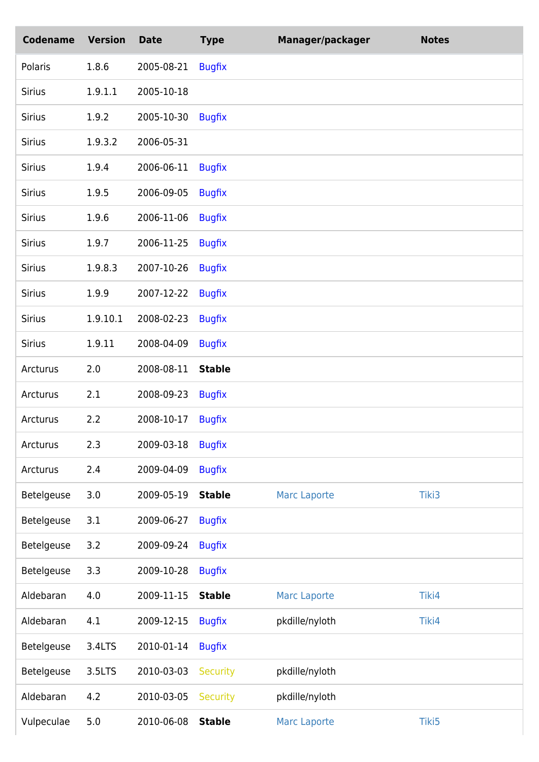| <b>Codename</b> | <b>Version</b> | <b>Date</b> | <b>Type</b>     | Manager/packager    | <b>Notes</b> |
|-----------------|----------------|-------------|-----------------|---------------------|--------------|
| Polaris         | 1.8.6          | 2005-08-21  | <b>Bugfix</b>   |                     |              |
| <b>Sirius</b>   | 1.9.1.1        | 2005-10-18  |                 |                     |              |
| <b>Sirius</b>   | 1.9.2          | 2005-10-30  | <b>Bugfix</b>   |                     |              |
| <b>Sirius</b>   | 1.9.3.2        | 2006-05-31  |                 |                     |              |
| <b>Sirius</b>   | 1.9.4          | 2006-06-11  | <b>Bugfix</b>   |                     |              |
| <b>Sirius</b>   | 1.9.5          | 2006-09-05  | <b>Bugfix</b>   |                     |              |
| <b>Sirius</b>   | 1.9.6          | 2006-11-06  | <b>Bugfix</b>   |                     |              |
| <b>Sirius</b>   | 1.9.7          | 2006-11-25  | <b>Bugfix</b>   |                     |              |
| <b>Sirius</b>   | 1.9.8.3        | 2007-10-26  | <b>Bugfix</b>   |                     |              |
| <b>Sirius</b>   | 1.9.9          | 2007-12-22  | <b>Bugfix</b>   |                     |              |
| <b>Sirius</b>   | 1.9.10.1       | 2008-02-23  | <b>Bugfix</b>   |                     |              |
| <b>Sirius</b>   | 1.9.11         | 2008-04-09  | <b>Bugfix</b>   |                     |              |
| Arcturus        | 2.0            | 2008-08-11  | <b>Stable</b>   |                     |              |
| Arcturus        | 2.1            | 2008-09-23  | <b>Bugfix</b>   |                     |              |
| Arcturus        | 2.2            | 2008-10-17  | <b>Bugfix</b>   |                     |              |
| Arcturus        | 2.3            | 2009-03-18  | <b>Bugfix</b>   |                     |              |
| Arcturus        | 2.4            | 2009-04-09  | <b>Bugfix</b>   |                     |              |
| Betelgeuse      | 3.0            | 2009-05-19  | <b>Stable</b>   | <b>Marc Laporte</b> | Tiki3        |
| Betelgeuse      | 3.1            | 2009-06-27  | <b>Bugfix</b>   |                     |              |
| Betelgeuse      | 3.2            | 2009-09-24  | <b>Bugfix</b>   |                     |              |
| Betelgeuse      | 3.3            | 2009-10-28  | <b>Bugfix</b>   |                     |              |
| Aldebaran       | 4.0            | 2009-11-15  | <b>Stable</b>   | <b>Marc Laporte</b> | Tiki4        |
| Aldebaran       | 4.1            | 2009-12-15  | <b>Bugfix</b>   | pkdille/nyloth      | Tiki4        |
| Betelgeuse      | 3.4LTS         | 2010-01-14  | <b>Bugfix</b>   |                     |              |
| Betelgeuse      | 3.5LTS         | 2010-03-03  | <b>Security</b> | pkdille/nyloth      |              |
| Aldebaran       | 4.2            | 2010-03-05  | <b>Security</b> | pkdille/nyloth      |              |
| Vulpeculae      | 5.0            | 2010-06-08  | <b>Stable</b>   | <b>Marc Laporte</b> | Tiki5        |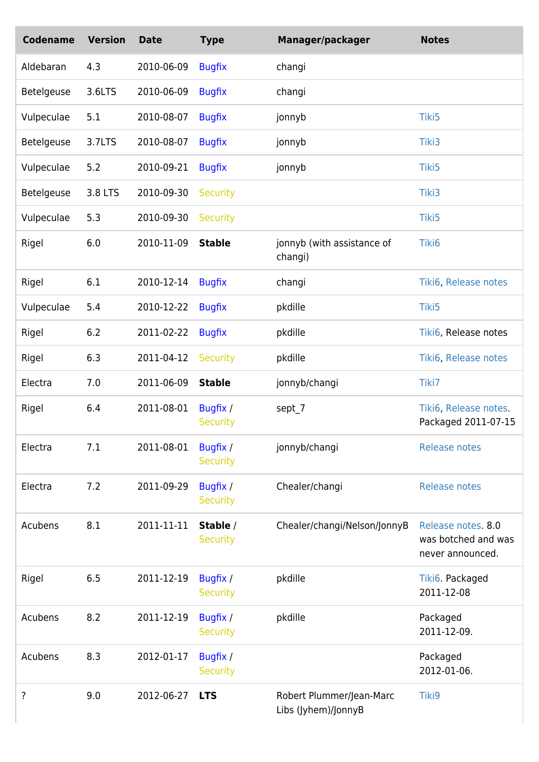| <b>Codename</b> | <b>Version</b> | <b>Date</b> | <b>Type</b>                 | Manager/packager                                | <b>Notes</b>                                                  |
|-----------------|----------------|-------------|-----------------------------|-------------------------------------------------|---------------------------------------------------------------|
| Aldebaran       | 4.3            | 2010-06-09  | <b>Bugfix</b>               | changi                                          |                                                               |
| Betelgeuse      | 3.6LTS         | 2010-06-09  | <b>Bugfix</b>               | changi                                          |                                                               |
| Vulpeculae      | 5.1            | 2010-08-07  | <b>Bugfix</b>               | jonnyb                                          | Tiki5                                                         |
| Betelgeuse      | 3.7LTS         | 2010-08-07  | <b>Bugfix</b>               | jonnyb                                          | Tiki3                                                         |
| Vulpeculae      | 5.2            | 2010-09-21  | <b>Bugfix</b>               | jonnyb                                          | Tiki5                                                         |
| Betelgeuse      | 3.8 LTS        | 2010-09-30  | <b>Security</b>             |                                                 | Tiki3                                                         |
| Vulpeculae      | 5.3            | 2010-09-30  | <b>Security</b>             |                                                 | Tiki5                                                         |
| Rigel           | 6.0            | 2010-11-09  | <b>Stable</b>               | jonnyb (with assistance of<br>changi)           | Tiki6                                                         |
| Rigel           | 6.1            | 2010-12-14  | <b>Bugfix</b>               | changi                                          | Tiki6, Release notes                                          |
| Vulpeculae      | 5.4            | 2010-12-22  | <b>Bugfix</b>               | pkdille                                         | Tiki5                                                         |
| Rigel           | 6.2            | 2011-02-22  | <b>Bugfix</b>               | pkdille                                         | Tiki6, Release notes                                          |
| Rigel           | 6.3            | 2011-04-12  | <b>Security</b>             | pkdille                                         | Tiki6, Release notes                                          |
| Electra         | 7.0            | 2011-06-09  | <b>Stable</b>               | jonnyb/changi                                   | Tiki7                                                         |
| Rigel           | 6.4            | 2011-08-01  | Bugfix /<br><b>Security</b> | sept_7                                          | Tiki6, Release notes.<br>Packaged 2011-07-15                  |
| Electra         | 7.1            | 2011-08-01  | Bugfix /<br><b>Security</b> | jonnyb/changi                                   | <b>Release notes</b>                                          |
| Electra         | 7.2            | 2011-09-29  | Bugfix /<br><b>Security</b> | Chealer/changi                                  | <b>Release notes</b>                                          |
| Acubens         | 8.1            | 2011-11-11  | Stable /<br><b>Security</b> | Chealer/changi/Nelson/JonnyB                    | Release notes. 8.0<br>was botched and was<br>never announced. |
| Rigel           | 6.5            | 2011-12-19  | Bugfix /<br><b>Security</b> | pkdille                                         | Tiki6. Packaged<br>2011-12-08                                 |
| Acubens         | 8.2            | 2011-12-19  | Bugfix /<br><b>Security</b> | pkdille                                         | Packaged<br>2011-12-09.                                       |
| Acubens         | 8.3            | 2012-01-17  | Bugfix /<br><b>Security</b> |                                                 | Packaged<br>2012-01-06.                                       |
| ?               | 9.0            | 2012-06-27  | <b>LTS</b>                  | Robert Plummer/Jean-Marc<br>Libs (Jyhem)/JonnyB | Tiki9                                                         |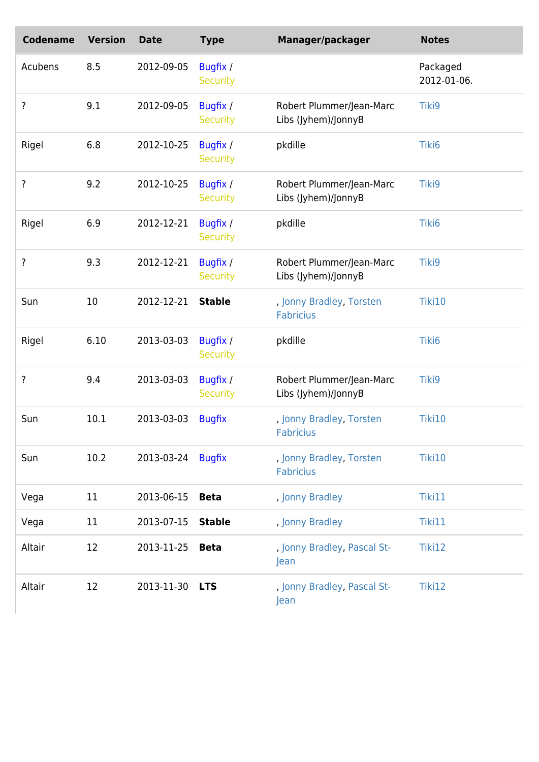| <b>Codename</b> | <b>Version</b> | <b>Date</b> | <b>Type</b>                 | Manager/packager                                | <b>Notes</b>            |
|-----------------|----------------|-------------|-----------------------------|-------------------------------------------------|-------------------------|
| Acubens         | 8.5            | 2012-09-05  | Bugfix /<br><b>Security</b> |                                                 | Packaged<br>2012-01-06. |
| ?               | 9.1            | 2012-09-05  | Bugfix /<br><b>Security</b> | Robert Plummer/Jean-Marc<br>Libs (Jyhem)/JonnyB | Tiki9                   |
| Rigel           | 6.8            | 2012-10-25  | Bugfix /<br><b>Security</b> | pkdille                                         | Tiki6                   |
| ?               | 9.2            | 2012-10-25  | Bugfix /<br><b>Security</b> | Robert Plummer/Jean-Marc<br>Libs (Jyhem)/JonnyB | Tiki9                   |
| Rigel           | 6.9            | 2012-12-21  | Bugfix /<br><b>Security</b> | pkdille                                         | Tiki6                   |
| ?               | 9.3            | 2012-12-21  | Bugfix /<br><b>Security</b> | Robert Plummer/Jean-Marc<br>Libs (Jyhem)/JonnyB | Tiki9                   |
| Sun             | 10             | 2012-12-21  | <b>Stable</b>               | , Jonny Bradley, Torsten<br><b>Fabricius</b>    | Tiki10                  |
| Rigel           | 6.10           | 2013-03-03  | Bugfix /<br><b>Security</b> | pkdille                                         | Tiki6                   |
| ?               | 9.4            | 2013-03-03  | Bugfix /<br><b>Security</b> | Robert Plummer/Jean-Marc<br>Libs (Jyhem)/JonnyB | Tiki9                   |
| Sun             | 10.1           | 2013-03-03  | <b>Bugfix</b>               | , Jonny Bradley, Torsten<br><b>Fabricius</b>    | Tiki10                  |
| Sun             | 10.2           | 2013-03-24  | <b>Bugfix</b>               | , Jonny Bradley, Torsten<br><b>Fabricius</b>    | Tiki10                  |
| Vega            | 11             | 2013-06-15  | <b>Beta</b>                 | , Jonny Bradley                                 | Tiki11                  |
| Vega            | 11             | 2013-07-15  | <b>Stable</b>               | , Jonny Bradley                                 | Tiki11                  |
| Altair          | 12             | 2013-11-25  | <b>Beta</b>                 | , Jonny Bradley, Pascal St-<br>Jean             | Tiki12                  |
| Altair          | 12             | 2013-11-30  | <b>LTS</b>                  | , Jonny Bradley, Pascal St-<br>Jean             | Tiki12                  |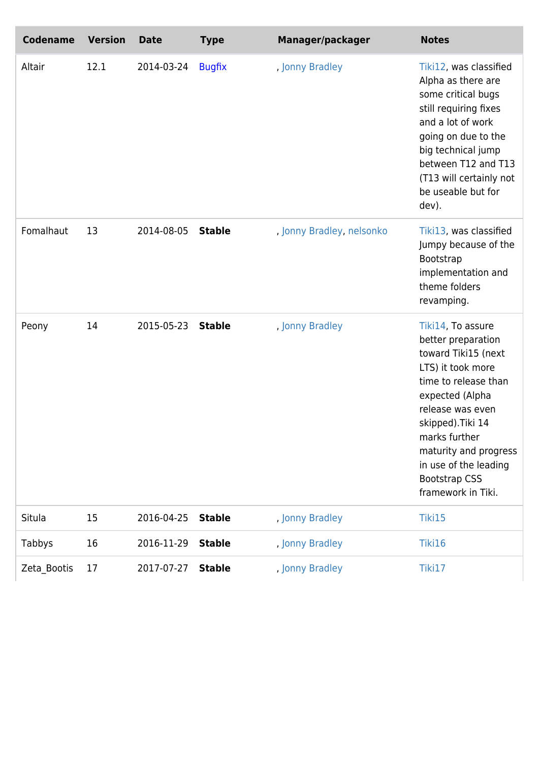| <b>Codename</b> | <b>Version</b> | <b>Date</b> | <b>Type</b>   | Manager/packager          | <b>Notes</b>                                                                                                                                                                                                                                                                             |
|-----------------|----------------|-------------|---------------|---------------------------|------------------------------------------------------------------------------------------------------------------------------------------------------------------------------------------------------------------------------------------------------------------------------------------|
| Altair          | 12.1           | 2014-03-24  | <b>Bugfix</b> | , Jonny Bradley           | Tiki12, was classified<br>Alpha as there are<br>some critical bugs<br>still requiring fixes<br>and a lot of work<br>going on due to the<br>big technical jump<br>between T12 and T13<br>(T13 will certainly not<br>be useable but for<br>dev).                                           |
| Fomalhaut       | 13             | 2014-08-05  | <b>Stable</b> | , Jonny Bradley, nelsonko | Tiki13, was classified<br>Jumpy because of the<br>Bootstrap<br>implementation and<br>theme folders<br>revamping.                                                                                                                                                                         |
| Peony           | 14             | 2015-05-23  | <b>Stable</b> | , Jonny Bradley           | Tiki14, To assure<br>better preparation<br>toward Tiki15 (next<br>LTS) it took more<br>time to release than<br>expected (Alpha<br>release was even<br>skipped). Tiki 14<br>marks further<br>maturity and progress<br>in use of the leading<br><b>Bootstrap CSS</b><br>framework in Tiki. |
| Situla          | 15             | 2016-04-25  | <b>Stable</b> | , Jonny Bradley           | Tiki15                                                                                                                                                                                                                                                                                   |
| Tabbys          | 16             | 2016-11-29  | <b>Stable</b> | , Jonny Bradley           | Tiki16                                                                                                                                                                                                                                                                                   |
| Zeta_Bootis     | 17             | 2017-07-27  | <b>Stable</b> | , Jonny Bradley           | Tiki17                                                                                                                                                                                                                                                                                   |